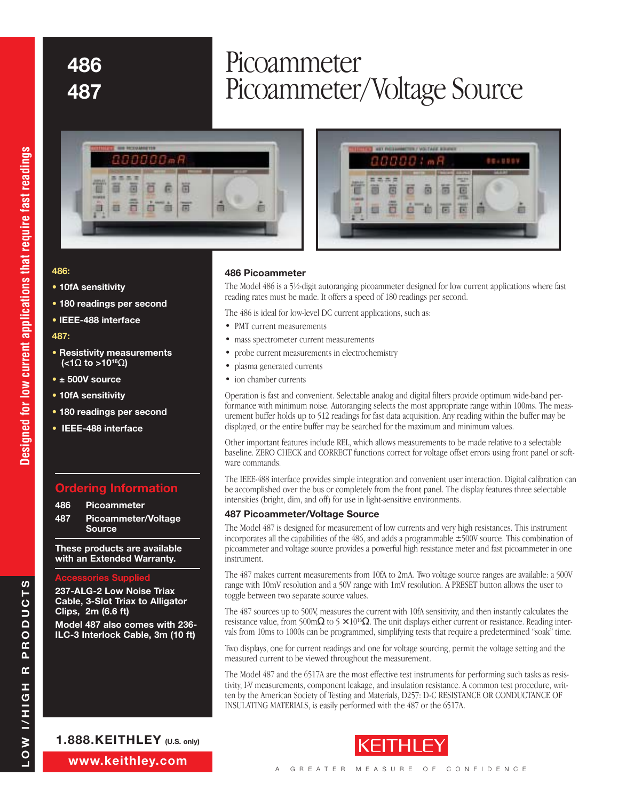# **<sup>486</sup>** Picoammeter **<sup>487</sup>** Picoammeter/Voltage Source



#### **486:**

- **10fA sensitivity**
- **180 readings per second**
- **IEEE-488 interface**

#### **487:**

- **Resistivity measurements (<1**Ω **to >1016**Ω**)**
- **± 500V source**
- **10fA sensitivity**
- **180 readings per second**
- **IEEE-488 interface**

# **Ordering Information**

- **486 Picoammeter**
- **487 Picoammeter/Voltage Source**

**These products are available with an Extended Warranty.**

#### **Accessories Supplied**

**237-ALG-2 Low Noise Triax Cable, 3-Slot Triax to Alligator Clips, 2m (6.6 ft)**

**Model 487 also comes with 236- ILC-3 Interlock Cable, 3m (10 ft)** 

## ā ä 面 逾

#### **486 Picoammeter**

The Model 486 is a 51/2-digit autoranging picoammeter designed for low current applications where fast reading rates must be made. It offers a speed of 180 readings per second.

8888.mR

004000

G

面

The 486 is ideal for low-level DC current applications, such as:

- PMT current measurements
- mass spectrometer current measurements
- probe current measurements in electrochemistry
- plasma generated currents
- ion chamber currents

Operation is fast and convenient. Selectable analog and digital filters provide optimum wide-band performance with minimum noise. Autoranging selects the most appropriate range within 100ms. The measurement buffer holds up to 512 readings for fast data acquisition. Any reading within the buffer may be displayed, or the entire buffer may be searched for the maximum and minimum values.

Other important features include REL, which allows measurements to be made relative to a selectable baseline. ZERO CHECK and CORRECT functions correct for voltage offset errors using front panel or software commands.

The IEEE-488 interface provides simple integration and convenient user interaction. Digital calibration can be accomplished over the bus or completely from the front panel. The display features three selectable intensities (bright, dim, and off) for use in light-sensitive environments.

#### **487 Picoammeter/Voltage Source**

The Model 487 is designed for measurement of low currents and very high resistances. This instrument incorporates all the capabilities of the 486, and adds a programmable ±500V source. This combination of picoammeter and voltage source provides a powerful high resistance meter and fast picoammeter in one instrument.

The 487 makes current measurements from 10fA to 2mA. Two voltage source ranges are available: a 500V range with 10mV resolution and a 50V range with 1mV resolution. A PRESET button allows the user to toggle between two separate source values.

The 487 sources up to 500V, measures the current with 10fA sensitivity, and then instantly calculates the resistance value, from 500m $\Omega$  to 5  $\times$  10<sup>16</sup> $\Omega$ . The unit displays either current or resistance. Reading intervals from 10ms to 1000s can be programmed, simplifying tests that require a predetermined "soak" time.

Two displays, one for current readings and one for voltage sourcing, permit the voltage setting and the measured current to be viewed throughout the measurement.

The Model 487 and the 6517A are the most effective test instruments for performing such tasks as resistivity, I-V measurements, component leakage, and insulation resistance. A common test procedure, written by the American Society of Testing and Materials, D257: D-C RESISTANCE OR CONDUCTANCE OF INSULATING MATERIALS, is easily performed with the 487 or the 6517A.



**www.keithley.com**

**1.888.KEITHLEY (U.S. only)**

**LOW I/HIGH R PRODUCTS**

H<sub>D</sub>H/I

**NOT** 

 $\alpha$ 

PRODUCTS